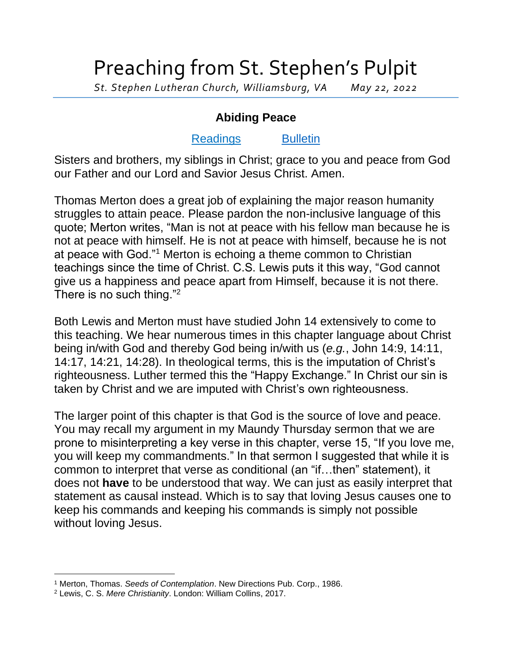## Preaching from St. Stephen's Pulpit

*St. Stephen Lutheran Church, Williamsburg, VA May 22, 2022*

## **Abiding Peace**

## [Readings](https://lectionary.library.vanderbilt.edu/texts.php?id=138) [Bulletin](http://www.saintstephenlutheran.net/sunday-bulletins/)

Sisters and brothers, my siblings in Christ; grace to you and peace from God our Father and our Lord and Savior Jesus Christ. Amen.

Thomas Merton does a great job of explaining the major reason humanity struggles to attain peace. Please pardon the non-inclusive language of this quote; Merton writes, "Man is not at peace with his fellow man because he is not at peace with himself. He is not at peace with himself, because he is not at peace with God."<sup>1</sup> Merton is echoing a theme common to Christian teachings since the time of Christ. C.S. Lewis puts it this way, "God cannot give us a happiness and peace apart from Himself, because it is not there. There is no such thing."<sup>2</sup>

Both Lewis and Merton must have studied John 14 extensively to come to this teaching. We hear numerous times in this chapter language about Christ being in/with God and thereby God being in/with us (*e.g.*, John 14:9, 14:11, 14:17, 14:21, 14:28). In theological terms, this is the imputation of Christ's righteousness. Luther termed this the "Happy Exchange." In Christ our sin is taken by Christ and we are imputed with Christ's own righteousness.

The larger point of this chapter is that God is the source of love and peace. You may recall my argument in my Maundy Thursday sermon that we are prone to misinterpreting a key verse in this chapter, verse 15, "If you love me, you will keep my commandments." In that sermon I suggested that while it is common to interpret that verse as conditional (an "if…then" statement), it does not **have** to be understood that way. We can just as easily interpret that statement as causal instead. Which is to say that loving Jesus causes one to keep his commands and keeping his commands is simply not possible without loving Jesus.

<sup>1</sup> Merton, Thomas. *Seeds of Contemplation*. New Directions Pub. Corp., 1986.

<sup>2</sup> Lewis, C. S. *Mere Christianity*. London: William Collins, 2017.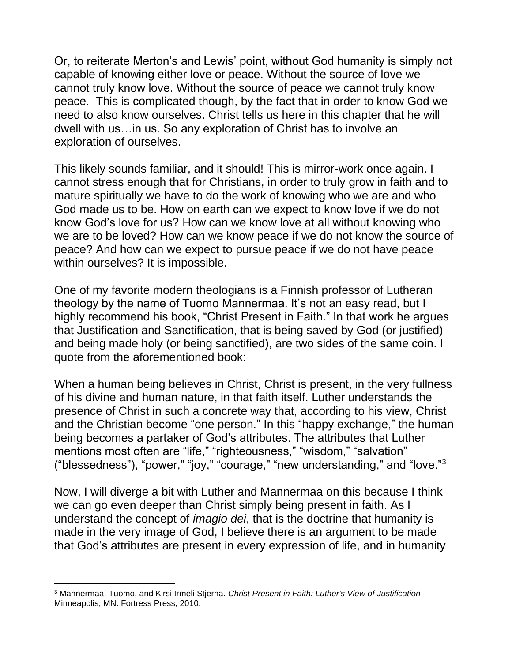Or, to reiterate Merton's and Lewis' point, without God humanity is simply not capable of knowing either love or peace. Without the source of love we cannot truly know love. Without the source of peace we cannot truly know peace. This is complicated though, by the fact that in order to know God we need to also know ourselves. Christ tells us here in this chapter that he will dwell with us…in us. So any exploration of Christ has to involve an exploration of ourselves.

This likely sounds familiar, and it should! This is mirror-work once again. I cannot stress enough that for Christians, in order to truly grow in faith and to mature spiritually we have to do the work of knowing who we are and who God made us to be. How on earth can we expect to know love if we do not know God's love for us? How can we know love at all without knowing who we are to be loved? How can we know peace if we do not know the source of peace? And how can we expect to pursue peace if we do not have peace within ourselves? It is impossible.

One of my favorite modern theologians is a Finnish professor of Lutheran theology by the name of Tuomo Mannermaa. It's not an easy read, but I highly recommend his book, "Christ Present in Faith." In that work he argues that Justification and Sanctification, that is being saved by God (or justified) and being made holy (or being sanctified), are two sides of the same coin. I quote from the aforementioned book:

When a human being believes in Christ, Christ is present, in the very fullness of his divine and human nature, in that faith itself. Luther understands the presence of Christ in such a concrete way that, according to his view, Christ and the Christian become "one person." In this "happy exchange," the human being becomes a partaker of God's attributes. The attributes that Luther mentions most often are "life," "righteousness," "wisdom," "salvation" ("blessedness"), "power," "joy," "courage," "new understanding," and "love."<sup>3</sup>

Now, I will diverge a bit with Luther and Mannermaa on this because I think we can go even deeper than Christ simply being present in faith. As I understand the concept of *imagio dei*, that is the doctrine that humanity is made in the very image of God, I believe there is an argument to be made that God's attributes are present in every expression of life, and in humanity

<sup>3</sup> Mannermaa, Tuomo, and Kirsi Irmeli Stjerna. *Christ Present in Faith: Luther's View of Justification*. Minneapolis, MN: Fortress Press, 2010.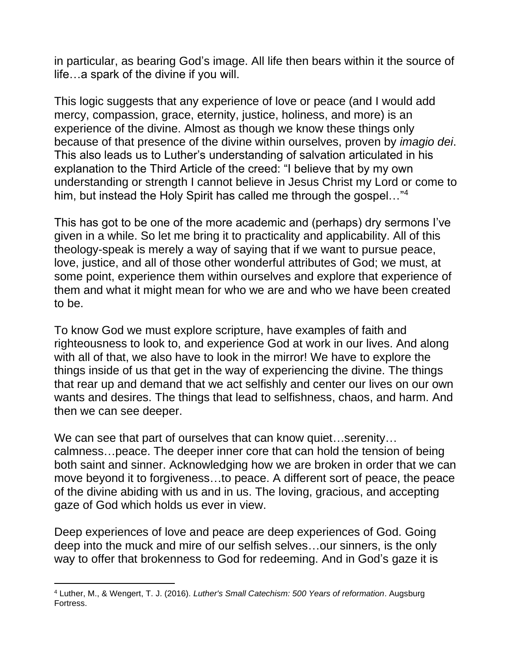in particular, as bearing God's image. All life then bears within it the source of life…a spark of the divine if you will.

This logic suggests that any experience of love or peace (and I would add mercy, compassion, grace, eternity, justice, holiness, and more) is an experience of the divine. Almost as though we know these things only because of that presence of the divine within ourselves, proven by *imagio dei*. This also leads us to Luther's understanding of salvation articulated in his explanation to the Third Article of the creed: "I believe that by my own understanding or strength I cannot believe in Jesus Christ my Lord or come to him, but instead the Holy Spirit has called me through the gospel..."<sup>4</sup>

This has got to be one of the more academic and (perhaps) dry sermons I've given in a while. So let me bring it to practicality and applicability. All of this theology-speak is merely a way of saying that if we want to pursue peace, love, justice, and all of those other wonderful attributes of God; we must, at some point, experience them within ourselves and explore that experience of them and what it might mean for who we are and who we have been created to be.

To know God we must explore scripture, have examples of faith and righteousness to look to, and experience God at work in our lives. And along with all of that, we also have to look in the mirror! We have to explore the things inside of us that get in the way of experiencing the divine. The things that rear up and demand that we act selfishly and center our lives on our own wants and desires. The things that lead to selfishness, chaos, and harm. And then we can see deeper.

We can see that part of ourselves that can know quiet…serenity… calmness…peace. The deeper inner core that can hold the tension of being both saint and sinner. Acknowledging how we are broken in order that we can move beyond it to forgiveness…to peace. A different sort of peace, the peace of the divine abiding with us and in us. The loving, gracious, and accepting gaze of God which holds us ever in view.

Deep experiences of love and peace are deep experiences of God. Going deep into the muck and mire of our selfish selves…our sinners, is the only way to offer that brokenness to God for redeeming. And in God's gaze it is

<sup>4</sup> Luther, M., & Wengert, T. J. (2016). *Luther's Small Catechism: 500 Years of reformation*. Augsburg Fortress.